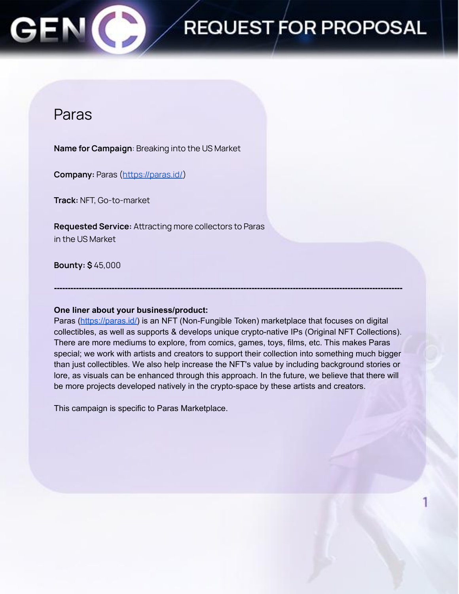## **REQUEST FOR PROPOSAL**

### Paras

**Name for Campaign**: Breaking into the US Market

**Company:** Paras ([https://paras.id/\)](https://paras.id/)

**Track:** NFT, Go-to-market

**Requested Service:** Attracting more collectors to Paras in the US Market

**Bounty: \$** 45,000

### **One liner about your business/product:**

Paras [\(https://paras.id/\)](https://paras.id/) is an NFT (Non-Fungible Token) marketplace that focuses on digital collectibles, as well as supports & develops unique crypto-native IPs (Original NFT Collections). There are more mediums to explore, from comics, games, toys, films, etc. This makes Paras special; we work with artists and creators to support their collection into something much bigger than just collectibles. We also help increase the NFT's value by including background stories or lore, as visuals can be enhanced through this approach. In the future, we believe that there will be more projects developed natively in the crypto-space by these artists and creators.

**-------------------------------------------------------------------------------------------------------------------------------**

This campaign is specific to Paras Marketplace.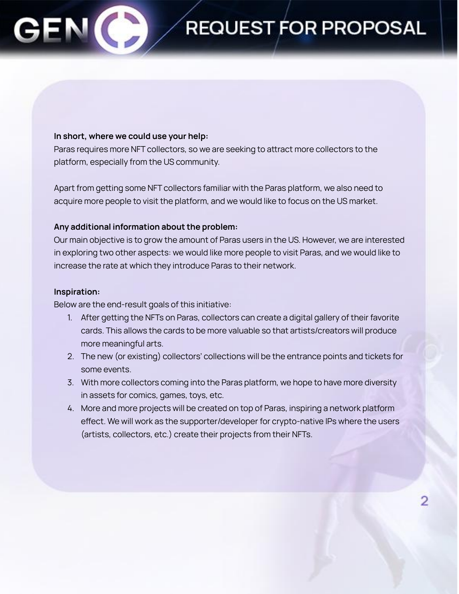## **REQUEST FOR PROPOSAL**

#### **In short, where we could use your help:**

Paras requires more NFT collectors, so we are seeking to attract more collectors to the platform, especially from the US community.

Apart from getting some NFT collectors familiar with the Paras platform, we also need to acquire more people to visit the platform, and we would like to focus on the US market.

#### **Any additional information about the problem:**

Our main objective is to grow the amount of Paras users in the US. However, we are interested in exploring two other aspects: we would like more people to visit Paras, and we would like to increase the rate at which they introduce Paras to their network.

#### **Inspiration:**

Below are the end-result goals of this initiative:

- 1. After getting the NFTs on Paras, collectors can create a digital gallery of their favorite cards. This allows the cards to be more valuable so that artists/creators will produce more meaningful arts.
- 2. The new (or existing) collectors' collections will be the entrance points and tickets for some events.
- 3. With more collectors coming into the Paras platform, we hope to have more diversity in assets for comics, games, toys, etc.
- 4. More and more projects will be created on top of Paras, inspiring a network platform effect. We will work as the supporter/developer for crypto-native IPs where the users (artists, collectors, etc.) create their projects from their NFTs.